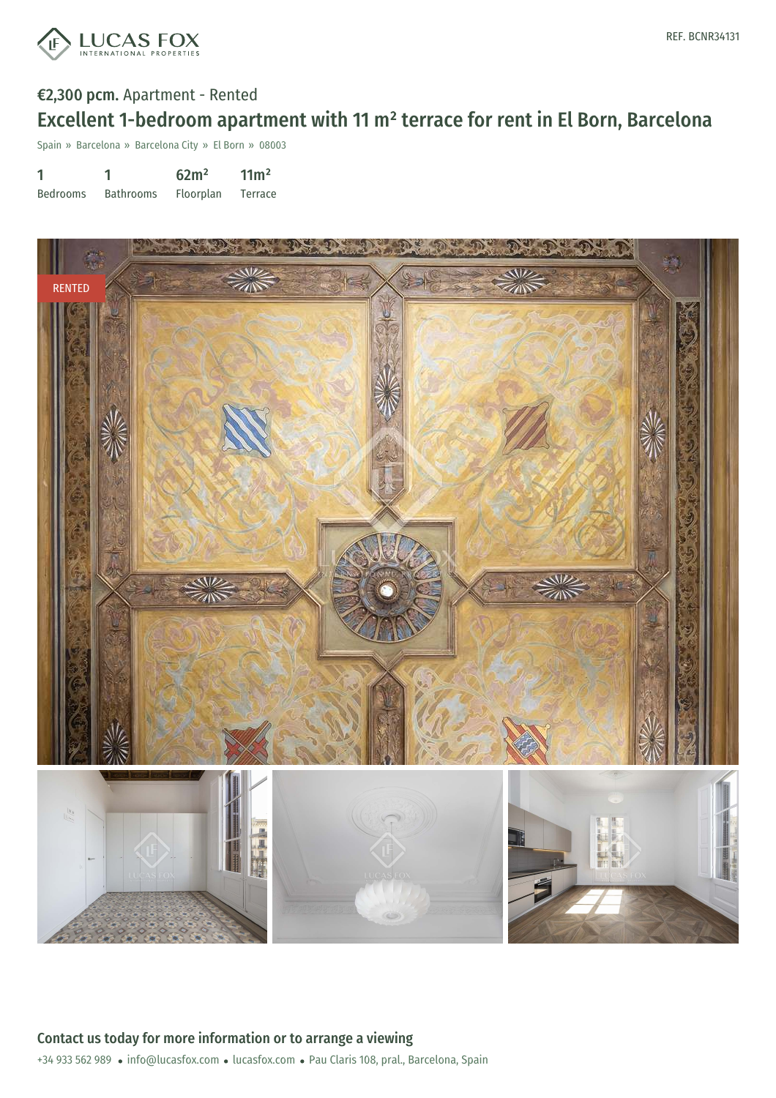

# €2,300 pcm. Apartment - Rented Excellent 1-bedroom apartment with 11 m² terrace for rent in El Born, Barcelona

Spain » Barcelona » Barcelona City » El Born » 08003

| 1               |                  | 62m <sup>2</sup> | 11 <sup>m²</sup> |
|-----------------|------------------|------------------|------------------|
| <b>Bedrooms</b> | <b>Bathrooms</b> | Floorplan        | Terrace          |

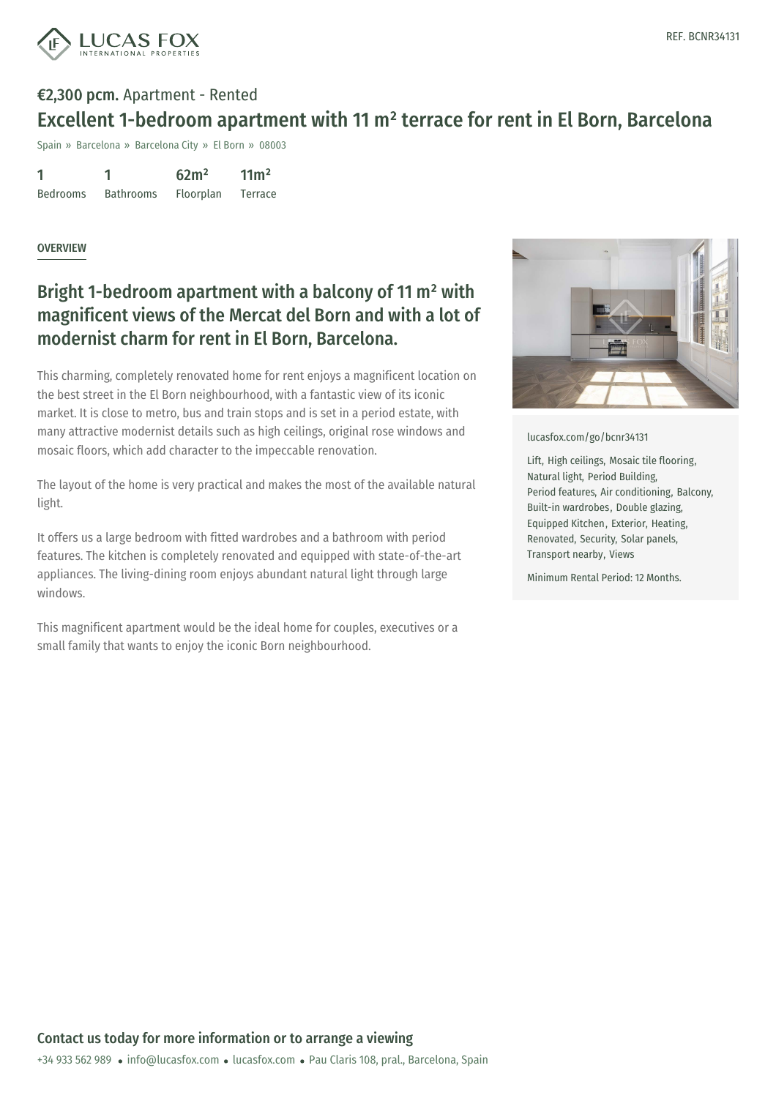

# €2,300 pcm. Apartment - Rented Excellent 1-bedroom apartment with 11 m² terrace for rent in El Born, Barcelona

Spain » Barcelona » Barcelona City » El Born » 08003

1 Bedrooms 1 Bathrooms  $62m<sup>2</sup>$ Floorplan  $11<sup>2</sup>$ Terrace

#### **OVERVIEW**

### Bright 1-bedroom apartment with a balcony of 11 m² with magnificent views of the Mercat del Born and with a lot of modernist charm for rent in El Born, Barcelona.

This charming, completely renovated home for rent enjoys a magnificent location on the best street in the El Born neighbourhood, with a fantastic view of its iconic market. It is close to metro, bus and train stops and is set in a period estate, with many attractive modernist details such as high ceilings, original rose windows and mosaic floors, which add character to the impeccable renovation.

The layout of the home is very practical and makes the most of the available natural light.

It offers us a large bedroom with fitted wardrobes and a bathroom with period features. The kitchen is completely renovated and equipped with state-of-the-art appliances. The living-dining room enjoys abundant natural light through large windows.

This magnificent apartment would be the ideal home for couples, executives or a small family that wants to enjoy the iconic Born neighbourhood.



[lucasfox.com/go/bcnr34131](https://www.lucasfox.com/go/bcnr34131)

Lift, High ceilings, Mosaic tile flooring, Natural light, Period Building, Period features, Air conditioning, Balcony, Built-in wardrobes, Double glazing, Equipped Kitchen, Exterior, Heating, Renovated, Security, Solar panels, Transport nearby, Views

Minimum Rental Period: 12 Months.